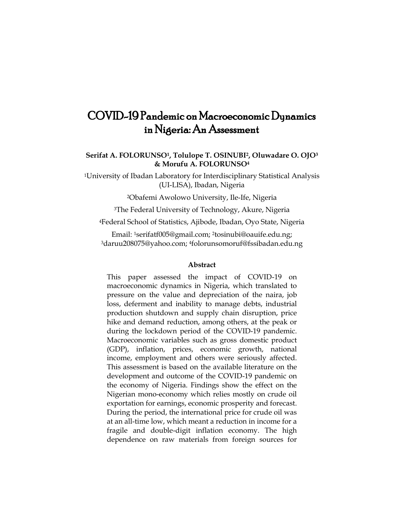# COVID-19 Pandemic on Macroeconomic Dynamics in Nigeria: An Assessment

# **Serifat A. FOLORUNSO1, Tolulope T. OSINUBI2, Oluwadare O. OJO<sup>3</sup> & Morufu A. FOLORUNSO<sup>4</sup>**

<sup>1</sup>University of Ibadan Laboratory for Interdisciplinary Statistical Analysis (UI-LISA), Ibadan, Nigeria

<sup>2</sup>Obafemi Awolowo University, Ile-Ife, Nigeria

<sup>3</sup>The Federal University of Technology, Akure, Nigeria

<sup>4</sup>Federal School of Statistics, Ajibode, Ibadan, Oyo State, Nigeria

Email: 1[serifatf005@gmail.com;](mailto:serifatf005@gmail.com1) 2[tosinubi@oauife.edu.ng;](mailto:tosinubi@oauife.edu.ng2) <sup>3</sup>[daruu208075@yahoo.com;](mailto:daruu208075@yahoo.com3) 4[folorunsomoruf@fssibadan.edu.ng](mailto:folorunsomoruf@fssibadan.edu.ng)

#### **Abstract**

This paper assessed the impact of COVID-19 on macroeconomic dynamics in Nigeria, which translated to pressure on the value and depreciation of the naira, job loss, deferment and inability to manage debts, industrial production shutdown and supply chain disruption, price hike and demand reduction, among others, at the peak or during the lockdown period of the COVID-19 pandemic. Macroeconomic variables such as gross domestic product (GDP), inflation, prices, economic growth, national income, employment and others were seriously affected. This assessment is based on the available literature on the development and outcome of the COVID-19 pandemic on the economy of Nigeria. Findings show the effect on the Nigerian mono-economy which relies mostly on crude oil exportation for earnings, economic prosperity and forecast. During the period, the international price for crude oil was at an all-time low, which meant a reduction in income for a fragile and double-digit inflation economy. The high dependence on raw materials from foreign sources for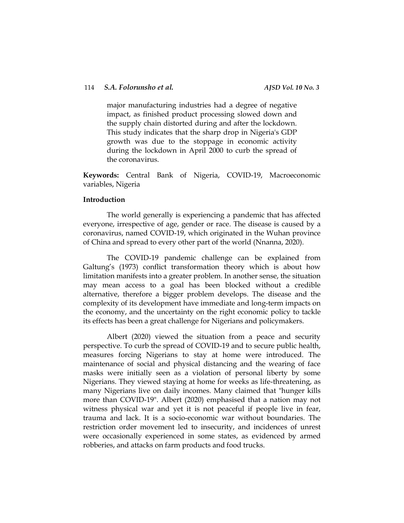major manufacturing industries had a degree of negative impact, as finished product processing slowed down and the supply chain distorted during and after the lockdown. This study indicates that the sharp drop in Nigeria's GDP growth was due to the stoppage in economic activity during the lockdown in April 2000 to curb the spread of the coronavirus.

**Keywords:** Central Bank of Nigeria, COVID-19, Macroeconomic variables, Nigeria

## **Introduction**

The world generally is experiencing a pandemic that has affected everyone, irrespective of age, gender or race. The disease is caused by a coronavirus, named COVID-19, which originated in the Wuhan province of China and spread to every other part of the world (Nnanna, 2020).

The COVID-19 pandemic challenge can be explained from Galtung's (1973) conflict transformation theory which is about how limitation manifests into a greater problem. In another sense, the situation may mean access to a goal has been blocked without a credible alternative, therefore a bigger problem develops. The disease and the complexity of its development have immediate and long-term impacts on the economy, and the uncertainty on the right economic policy to tackle its effects has been a great challenge for Nigerians and policymakers.

Albert (2020) viewed the situation from a peace and security perspective. To curb the spread of COVID-19 and to secure public health, measures forcing Nigerians to stay at home were introduced. The maintenance of social and physical distancing and the wearing of face masks were initially seen as a violation of personal liberty by some Nigerians. They viewed staying at home for weeks as life-threatening, as many Nigerians live on daily incomes. Many claimed that "hunger kills more than COVID-19". Albert (2020) emphasised that a nation may not witness physical war and yet it is not peaceful if people live in fear, trauma and lack. It is a socio-economic war without boundaries. The restriction order movement led to insecurity, and incidences of unrest were occasionally experienced in some states, as evidenced by armed robberies, and attacks on farm products and food trucks.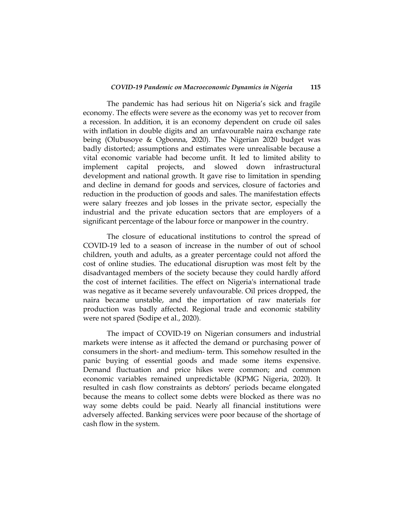The pandemic has had serious hit on Nigeria's sick and fragile economy. The effects were severe as the economy was yet to recover from a recession. In addition, it is an economy dependent on crude oil sales with inflation in double digits and an unfavourable naira exchange rate being (Olubusoye & Ogbonna, 2020). The Nigerian 2020 budget was badly distorted; assumptions and estimates were unrealisable because a vital economic variable had become unfit. It led to limited ability to implement capital projects, and slowed down infrastructural development and national growth. It gave rise to limitation in spending and decline in demand for goods and services, closure of factories and reduction in the production of goods and sales. The manifestation effects were salary freezes and job losses in the private sector, especially the industrial and the private education sectors that are employers of a significant percentage of the labour force or manpower in the country.

The closure of educational institutions to control the spread of COVID-19 led to a season of increase in the number of out of school children, youth and adults, as a greater percentage could not afford the cost of online studies. The educational disruption was most felt by the disadvantaged members of the society because they could hardly afford the cost of internet facilities. The effect on Nigeria's international trade was negative as it became severely unfavourable. Oil prices dropped, the naira became unstable, and the importation of raw materials for production was badly affected. Regional trade and economic stability were not spared (Sodipe et al., 2020).

The impact of COVID-19 on Nigerian consumers and industrial markets were intense as it affected the demand or purchasing power of consumers in the short- and medium- term. This somehow resulted in the panic buying of essential goods and made some items expensive. Demand fluctuation and price hikes were common; and common economic variables remained unpredictable (KPMG Nigeria, 2020). It resulted in cash flow constraints as debtors' periods became elongated because the means to collect some debts were blocked as there was no way some debts could be paid. Nearly all financial institutions were adversely affected. Banking services were poor because of the shortage of cash flow in the system.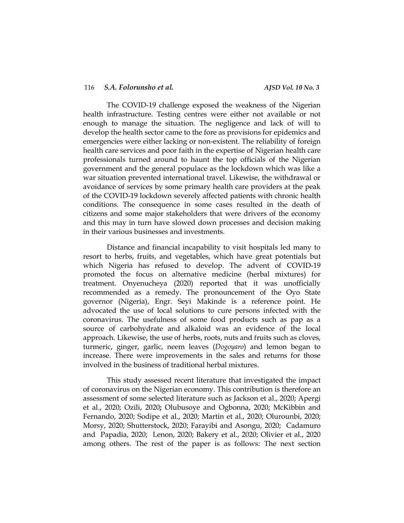The COVID-19 challenge exposed the weakness of the Nigerian health infrastructure. Testing centres were either not available or not enough to manage the situation. The negligence and lack of will to develop the health sector came to the fore as provisions for epidemics and emergencies were either lacking or non-existent. The reliability of foreign health care services and poor faith in the expertise of Nigerian health care professionals turned around to haunt the top officials of the Nigerian government and the general populace as the lockdown which was like a war situation prevented international travel. Likewise, the withdrawal or avoidance of services by some primary health care providers at the peak of the COVID-19 lockdown severely affected patients with chronic health conditions. The consequence in some cases resulted in the death of citizens and some major stakeholders that were drivers of the economy and this may in turn have slowed down processes and decision making in their various businesses and investments.

Distance and financial incapability to visit hospitals led many to resort to herbs, fruits, and vegetables, which have great potentials but which Nigeria has refused to develop. The advent of COVID-19 promoted the focus on alternative medicine (herbal mixtures) for treatment. Onyenucheya (2020) reported that it was unofficially recommended as a remedy. The pronouncement of the Oyo State governor (Nigeria), Engr. Seyi Makinde is a reference point. He advocated the use of local solutions to cure persons infected with the coronavirus. The usefulness of some food products such as pap as a source of carbohydrate and alkaloid was an evidence of the local approach. Likewise, the use of herbs, roots, nuts and fruits such as cloves, turmeric, ginger, garlic, neem leaves (*Dogoyaro*) and lemon began to increase. There were improvements in the sales and returns for those involved in the business of traditional herbal mixtures.

This study assessed recent literature that investigated the impact of coronavirus on the Nigerian economy. This contribution is therefore an assessment of some selected literature such as Jackson et al., 2020; Apergi et al., 2020; Ozili, 2020**;** Olubusoye and Ogbonna, 2020; McKibbin and Fernando, 2020; Sodipe et al., 2020; Martin et al., 2020; Olurounbi, 2020; Morsy, 2020; Shutterstock, 2020; Farayibi and Asongu, 2020; [Cadamuro](https://www.bruegel.org/author/leonardo-papadia/) and [Papadia,](https://www.bruegel.org/author/francesco-papadia/) 2020; [Lenon,](https://www.cdcgroup.com/en/people/olivia-lenon/) 2020; Bakery et al., 2020; Olivier et al., 2020 among others. The rest of the paper is as follows: The next section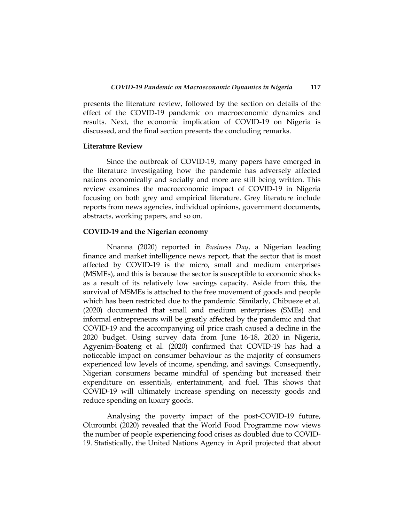presents the literature review, followed by the section on details of the effect of the COVID-19 pandemic on macroeconomic dynamics and results. Next, the economic implication of COVID-19 on Nigeria is discussed, and the final section presents the concluding remarks.

#### **Literature Review**

Since the outbreak of COVID-19, many papers have emerged in the literature investigating how the pandemic has adversely affected nations economically and socially and more are still being written. This review examines the macroeconomic impact of COVID-19 in Nigeria focusing on both grey and empirical literature. Grey literature include reports from news agencies, individual opinions, government documents, abstracts, working papers, and so on.

#### **COVID-19 and the Nigerian economy**

Nnanna (2020) reported in *Business Day*, a Nigerian leading finance and market intelligence news report, that the sector that is most affected by COVID-19 is the micro, small and medium enterprises (MSMEs), and this is because the sector is susceptible to economic shocks as a result of its relatively low savings capacity. Aside from this, the survival of MSMEs is attached to the free movement of goods and people which has been restricted due to the pandemic. Similarly, Chibueze et al*.*  (2020) documented that small and medium enterprises (SMEs) and informal entrepreneurs will be greatly affected by the pandemic and that COVID-19 and the accompanying oil price crash caused a decline in the 2020 budget. Using survey data from June 16-18, 2020 in Nigeria, Agyenim-Boateng et al. (2020) confirmed that COVID-19 has had a noticeable impact on consumer behaviour as the majority of consumers experienced low levels of income, spending, and savings. Consequently, Nigerian consumers became mindful of spending but increased their expenditure on essentials, entertainment, and fuel. This shows that COVID-19 will ultimately increase spending on necessity goods and reduce spending on luxury goods.

Analysing the poverty impact of the post-COVID-19 future, Olurounbi (2020) revealed that the World Food Programme now views the number of people experiencing food crises as doubled due to COVID-19. Statistically, the United Nations Agency in April projected that about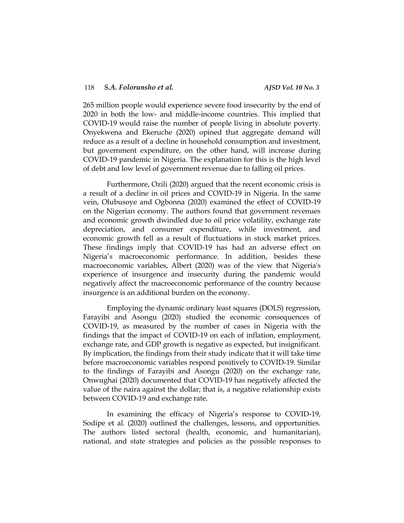265 million people would experience severe food insecurity by the end of 2020 in both the low- and middle-income countries. This implied that COVID-19 would raise the number of people living in absolute poverty. Onyekwena and Ekeruche (2020) opined that aggregate demand will reduce as a result of a decline in household consumption and investment, but government expenditure, on the other hand, will increase during COVID-19 pandemic in Nigeria. The explanation for this is the high level of debt and low level of government revenue due to falling oil prices.

Furthermore, Ozili (2020) argued that the recent economic crisis is a result of a decline in oil prices and COVID-19 in Nigeria. In the same vein, Olubusoye and Ogbonna (2020) examined the effect of COVID-19 on the Nigerian economy. The authors found that government revenues and economic growth dwindled due to oil price volatility, exchange rate depreciation, and consumer expenditure, while investment, and economic growth fell as a result of fluctuations in stock market prices. These findings imply that COVID-19 has had an adverse effect on Nigeria's macroeconomic performance. In addition, besides these macroeconomic variables, Albert (2020) was of the view that Nigeria's experience of insurgence and insecurity during the pandemic would negatively affect the macroeconomic performance of the country because insurgence is an additional burden on the economy.

Employing the dynamic ordinary least squares (DOLS) regression, Farayibi and Asongu (2020) studied the economic consequences of COVID-19, as measured by the number of cases in Nigeria with the findings that the impact of COVID-19 on each of inflation, employment, exchange rate, and GDP growth is negative as expected, but insignificant. By implication, the findings from their study indicate that it will take time before macroeconomic variables respond positively to COVID-19. Similar to the findings of Farayibi and Asongu (2020) on the exchange rate, Onwughai (2020) documented that COVID-19 has negatively affected the value of the naira against the dollar; that is, a negative relationship exists between COVID-19 and exchange rate.

In examining the efficacy of Nigeria's response to COVID-19, Sodipe et al*.* (2020) outlined the challenges, lessons, and opportunities. The authors listed sectoral (health, economic, and humanitarian), national, and state strategies and policies as the possible responses to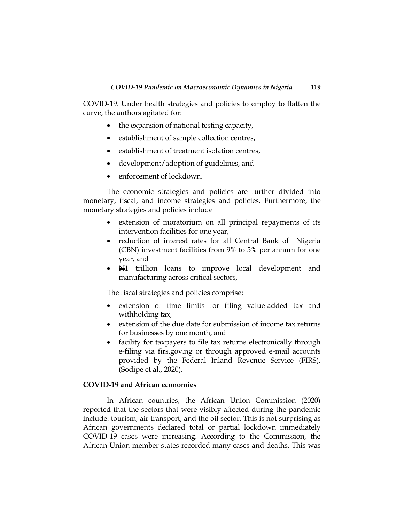COVID-19. Under health strategies and policies to employ to flatten the curve, the authors agitated for:

- the expansion of national testing capacity,
- establishment of sample collection centres,
- establishment of treatment isolation centres,
- development/adoption of guidelines, and
- enforcement of lockdown.

The economic strategies and policies are further divided into monetary, fiscal, and income strategies and policies. Furthermore, the monetary strategies and policies include

- extension of moratorium on all principal repayments of its intervention facilities for one year,
- reduction of interest rates for all Central Bank of Nigeria (CBN) investment facilities from 9% to 5% per annum for one year, and
- $\blacktriangleright$  H1 trillion loans to improve local development and manufacturing across critical sectors,

The fiscal strategies and policies comprise:

- extension of time limits for filing value-added tax and withholding tax,
- extension of the due date for submission of income tax returns for businesses by one month, and
- facility for taxpayers to file tax returns electronically through e-filing via firs.gov.ng or through approved e-mail accounts provided by the Federal Inland Revenue Service (FIRS). (Sodipe et al., 2020).

# **COVID-19 and African economies**

In African countries, the African Union Commission (2020) reported that the sectors that were visibly affected during the pandemic include: tourism, air transport, and the oil sector. This is not surprising as African governments declared total or partial lockdown immediately COVID-19 cases were increasing. According to the Commission, the African Union member states recorded many cases and deaths. This was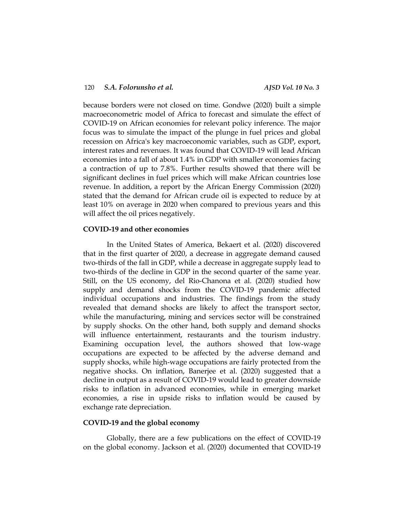because borders were not closed on time. Gondwe (2020) built a simple macroeconometric model of Africa to forecast and simulate the effect of COVID-19 on African economies for relevant policy inference. The major focus was to simulate the impact of the plunge in fuel prices and global recession on Africa's key macroeconomic variables, such as GDP, export, interest rates and revenues. It was found that COVID-19 will lead African economies into a fall of about 1.4% in GDP with smaller economies facing a contraction of up to 7.8%. Further results showed that there will be significant declines in fuel prices which will make African countries lose revenue. In addition, a report by the African Energy Commission (2020) stated that the demand for African crude oil is expected to reduce by at least 10% on average in 2020 when compared to previous years and this will affect the oil prices negatively.

## **COVID-19 and other economies**

In the United States of America, Bekaert et al. (2020) discovered that in the first quarter of 2020, a decrease in aggregate demand caused two-thirds of the fall in GDP, while a decrease in aggregate supply lead to two-thirds of the decline in GDP in the second quarter of the same year. Still, on the US economy, del Rio-Chanona et al*.* (2020) studied how supply and demand shocks from the COVID-19 pandemic affected individual occupations and industries. The findings from the study revealed that demand shocks are likely to affect the transport sector, while the manufacturing, mining and services sector will be constrained by supply shocks. On the other hand, both supply and demand shocks will influence entertainment, restaurants and the tourism industry. Examining occupation level, the authors showed that low-wage occupations are expected to be affected by the adverse demand and supply shocks, while high-wage occupations are fairly protected from the negative shocks. On inflation, Banerjee et al. (2020) suggested that a decline in output as a result of COVID-19 would lead to greater downside risks to inflation in advanced economies, while in emerging market economies, a rise in upside risks to inflation would be caused by exchange rate depreciation.

### **COVID-19 and the global economy**

Globally, there are a few publications on the effect of COVID-19 on the global economy. Jackson et al. (2020) documented that COVID-19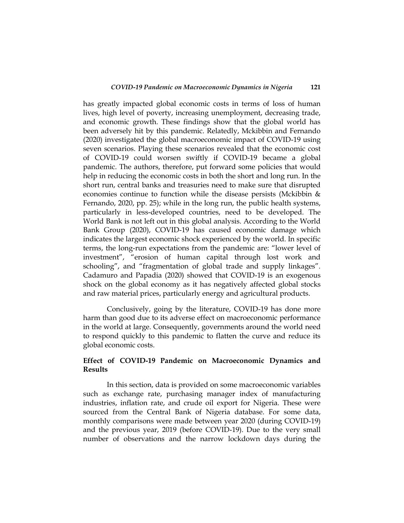has greatly impacted global economic costs in terms of loss of human lives, high level of poverty, increasing unemployment, decreasing trade, and economic growth. These findings show that the global world has been adversely hit by this pandemic. Relatedly, Mckibbin and Fernando (2020) investigated the global macroeconomic impact of COVID-19 using seven scenarios. Playing these scenarios revealed that the economic cost of COVID-19 could worsen swiftly if COVID-19 became a global pandemic. The authors, therefore, put forward some policies that would help in reducing the economic costs in both the short and long run. In the short run, central banks and treasuries need to make sure that disrupted economies continue to function while the disease persists (Mckibbin & Fernando, 2020, pp. 25); while in the long run, the public health systems, particularly in less-developed countries, need to be developed. The World Bank is not left out in this global analysis. According to the World Bank Group (2020), COVID-19 has caused economic damage which indicates the largest economic shock experienced by the world. In specific terms, the long-run expectations from the pandemic are: "lower level of investment", "erosion of human capital through lost work and schooling", and "fragmentation of global trade and supply linkages". Cadamuro and Papadia (2020) showed that COVID-19 is an exogenous shock on the global economy as it has negatively affected global stocks and raw material prices, particularly energy and agricultural products.

Conclusively, going by the literature, COVID-19 has done more harm than good due to its adverse effect on macroeconomic performance in the world at large. Consequently, governments around the world need to respond quickly to this pandemic to flatten the curve and reduce its global economic costs.

## **Effect of COVID-19 Pandemic on Macroeconomic Dynamics and Results**

In this section, data is provided on some macroeconomic variables such as exchange rate, purchasing manager index of manufacturing industries, inflation rate, and crude oil export for Nigeria. These were sourced from the Central Bank of Nigeria database. For some data, monthly comparisons were made between year 2020 (during COVID-19) and the previous year, 2019 (before COVID-19). Due to the very small number of observations and the narrow lockdown days during the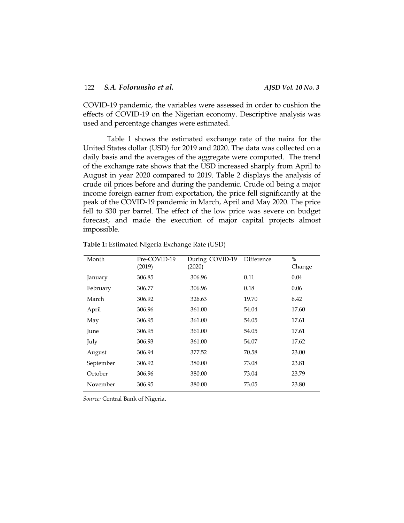COVID-19 pandemic, the variables were assessed in order to cushion the effects of COVID-19 on the Nigerian economy. Descriptive analysis was used and percentage changes were estimated.

Table 1 shows the estimated exchange rate of the naira for the United States dollar (USD) for 2019 and 2020. The data was collected on a daily basis and the averages of the aggregate were computed. The trend of the exchange rate shows that the USD increased sharply from April to August in year 2020 compared to 2019. Table 2 displays the analysis of crude oil prices before and during the pandemic. Crude oil being a major income foreign earner from exportation, the price fell significantly at the peak of the COVID-19 pandemic in March, April and May 2020. The price fell to \$30 per barrel. The effect of the low price was severe on budget forecast, and made the execution of major capital projects almost impossible.

| Month     | Pre-COVID-19<br>(2019) | During COVID-19<br>(2020) | Difference | $\%$<br>Change |
|-----------|------------------------|---------------------------|------------|----------------|
| January   | 306.85                 | 306.96                    | 0.11       | 0.04           |
| February  | 306.77                 | 306.96                    | 0.18       | 0.06           |
| March     | 306.92                 | 326.63                    | 19.70      | 6.42           |
| April     | 306.96                 | 361.00                    | 54.04      | 17.60          |
| May       | 306.95                 | 361.00                    | 54.05      | 17.61          |
| June      | 306.95                 | 361.00                    | 54.05      | 17.61          |
| July      | 306.93                 | 361.00                    | 54.07      | 17.62          |
| August    | 306.94                 | 377.52                    | 70.58      | 23.00          |
| September | 306.92                 | 380.00                    | 73.08      | 23.81          |
| October   | 306.96                 | 380.00                    | 73.04      | 23.79          |
| November  | 306.95                 | 380.00                    | 73.05      | 23.80          |

**Table 1:** Estimated Nigeria Exchange Rate (USD)

*Source:* Central Bank of Nigeria.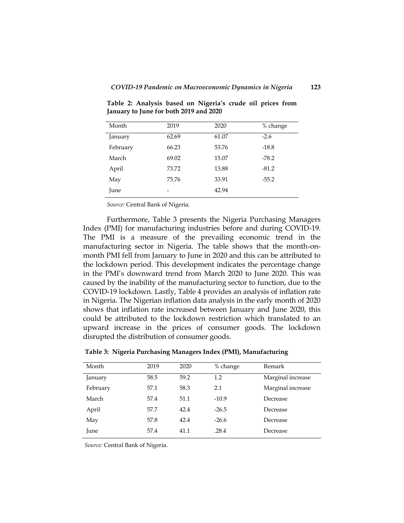| Month    | 2019  | 2020  | % change |
|----------|-------|-------|----------|
| January  | 62.69 | 61.07 | $-2.6$   |
| February | 66.23 | 53.76 | $-18.8$  |
| March    | 69.02 | 15.07 | $-78.2$  |
| April    | 73.72 | 13.88 | $-81.2$  |
| May      | 75.76 | 33.91 | $-55.2$  |
| June     | -     | 42.94 |          |
|          |       |       |          |

**Table 2: Analysis based on Nigeria's crude oil prices from January to June for both 2019 and 2020**

*Source:* Central Bank of Nigeria.

Furthermore, Table 3 presents the Nigeria Purchasing Managers Index (PMI) for manufacturing industries before and during COVID-19. The PMI is a measure of the prevailing economic trend in the manufacturing sector in Nigeria. The table shows that the month-onmonth PMI fell from January to June in 2020 and this can be attributed to the lockdown period. This development indicates the percentage change in the PMI's downward trend from March 2020 to June 2020. This was caused by the inability of the manufacturing sector to function, due to the COVID-19 lockdown. Lastly, Table 4 provides an analysis of inflation rate in Nigeria. The Nigerian inflation data analysis in the early month of 2020 shows that inflation rate increased between January and June 2020, this could be attributed to the lockdown restriction which translated to an upward increase in the prices of consumer goods. The lockdown disrupted the distribution of consumer goods.

| Month    | 2019 | 2020 | % change | Remark            |
|----------|------|------|----------|-------------------|
| January  | 58.5 | 59.2 | 1.2      | Marginal increase |
| February | 57.1 | 58.3 | 2.1      | Marginal increase |
| March    | 57.4 | 51.1 | $-10.9$  | Decrease          |
| April    | 57.7 | 42.4 | $-26.5$  | Decrease          |
| May      | 57.8 | 42.4 | $-26.6$  | Decrease          |
| June     | 57.4 | 41.1 | .28.4    | Decrease          |

**Table 3: Nigeria Purchasing Managers Index (PMI), Manufacturing**

*Source:* Central Bank of Nigeria.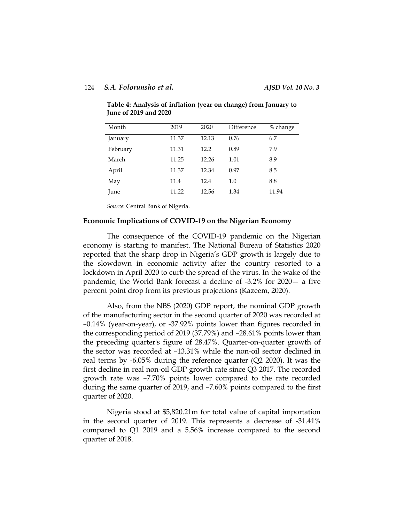| Month    | 2019  | 2020  | Difference | % change |
|----------|-------|-------|------------|----------|
| January  | 11.37 | 12.13 | 0.76       | 6.7      |
| February | 11.31 | 12.2  | 0.89       | 7.9      |
| March    | 11.25 | 12.26 | 1.01       | 8.9      |
| April    | 11.37 | 12.34 | 0.97       | 8.5      |
| May      | 11.4  | 12.4  | 1.0        | 8.8      |
| June     | 11.22 | 12.56 | 1.34       | 11.94    |

**Table 4: Analysis of inflation (year on change) from January to June of 2019 and 2020**

*Source*: Central Bank of Nigeria.

## **Economic Implications of COVID-19 on the Nigerian Economy**

The consequence of the COVID-19 pandemic on the Nigerian economy is starting to manifest. The National Bureau of Statistics 2020 reported that the sharp drop in Nigeria's GDP growth is largely due to the slowdown in economic activity after the country resorted to a lockdown in April 2020 to curb the spread of the virus. In the wake of the pandemic, the World Bank forecast a decline of -3.2% for 2020— a five percent point drop from its previous projections (Kazeem, 2020).

Also, from the NBS (2020) GDP report, the nominal GDP growth of the manufacturing sector in the second quarter of 2020 was recorded at –0.14% (year-on-year), or -37.92% points lower than figures recorded in the corresponding period of 2019 (37.79%) and –28.61% points lower than the preceding quarter's figure of 28.47%. Quarter-on-quarter growth of the sector was recorded at –13.31% while the non-oil sector declined in real terms by -6.05% during the reference quarter (Q2 2020). It was the first decline in real non-oil GDP growth rate since Q3 2017. The recorded growth rate was –7.70% points lower compared to the rate recorded during the same quarter of 2019, and –7.60% points compared to the first quarter of 2020.

Nigeria stood at \$5,820.21m for total value of capital importation in the second quarter of 2019. This represents a decrease of -31.41% compared to Q1 2019 and a 5.56% increase compared to the second quarter of 2018.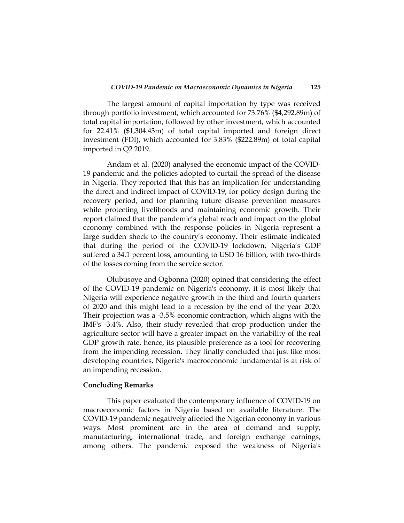The largest amount of capital importation by type was received through portfolio investment, which accounted for 73.76% (\$4,292.89m) of total capital importation, followed by other investment, which accounted for 22.41% (\$1,304.43m) of total capital imported and foreign direct investment (FDI), which accounted for 3.83% (\$222.89m) of total capital imported in Q2 2019.

Andam et al. (2020) analysed the economic impact of the COVID-19 pandemic and the policies adopted to curtail the spread of the disease in Nigeria. They reported that this has an implication for understanding the direct and indirect impact of COVID-19, for policy design during the recovery period, and for planning future disease prevention measures while protecting livelihoods and maintaining economic growth. Their report claimed that the pandemic's global reach and impact on the global economy combined with the response policies in Nigeria represent a large sudden shock to the country's economy. Their estimate indicated that during the period of the COVID-19 lockdown, Nigeria's GDP suffered a 34.1 percent loss, amounting to USD 16 billion, with two-thirds of the losses coming from the service sector.

Olubusoye and Ogbonna (2020) opined that considering the effect of the COVID-19 pandemic on Nigeria's economy, it is most likely that Nigeria will experience negative growth in the third and fourth quarters of 2020 and this might lead to a recession by the end of the year 2020. Their projection was a -3.5% economic contraction, which aligns with the IMF's -3.4%. Also, their study revealed that crop production under the agriculture sector will have a greater impact on the variability of the real GDP growth rate, hence, its plausible preference as a tool for recovering from the impending recession. They finally concluded that just like most developing countries, Nigeria's macroeconomic fundamental is at risk of an impending recession.

#### **Concluding Remarks**

This paper evaluated the contemporary influence of COVID-19 on macroeconomic factors in Nigeria based on available literature. The COVID-19 pandemic negatively affected the Nigerian economy in various ways. Most prominent are in the area of demand and supply, manufacturing, international trade, and foreign exchange earnings, among others. The pandemic exposed the weakness of Nigeria's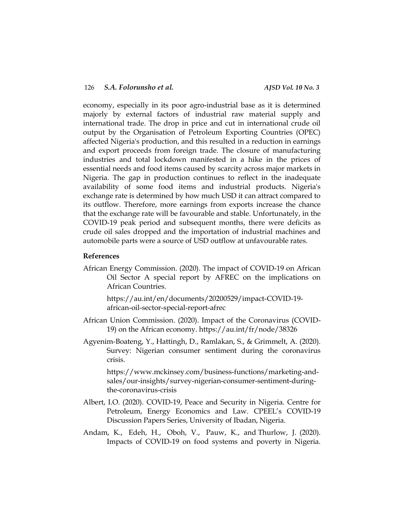economy, especially in its poor agro-industrial base as it is determined majorly by external factors of industrial raw material supply and international trade. The drop in price and cut in international crude oil output by the Organisation of Petroleum Exporting Countries (OPEC) affected Nigeria's production, and this resulted in a reduction in earnings and export proceeds from foreign trade. The closure of manufacturing industries and total lockdown manifested in a hike in the prices of essential needs and food items caused by scarcity across major markets in Nigeria. The gap in production continues to reflect in the inadequate availability of some food items and industrial products. Nigeria's exchange rate is determined by how much USD it can attract compared to its outflow. Therefore, more earnings from exports increase the chance that the exchange rate will be favourable and stable. Unfortunately, in the COVID-19 peak period and subsequent months, there were deficits as crude oil sales dropped and the importation of industrial machines and automobile parts were a source of USD outflow at unfavourable rates.

#### **References**

African Energy Commission. (2020). The impact of COVID-19 on African Oil Sector A special report by AFREC on the implications on African Countries.

https://au.int/en/documents/20200529/impact-COVID-19 african-oil-sector-special-report-afrec

- African Union Commission. (2020). Impact of the Coronavirus (COVID-19) on the African economy. https://au.int/fr/node/38326
- Agyenim-Boateng, Y., Hattingh, D., Ramlakan, S., & Grimmelt, A. (2020). Survey: Nigerian consumer sentiment during the coronavirus crisis.

https://www.mckinsey.com/business-functions/marketing-andsales/our-insights/survey-nigerian-consumer-sentiment-duringthe-coronavirus-crisis

- Albert, I.O. (2020). COVID-19, Peace and Security in Nigeria. Centre for Petroleum, Energy Economics and Law*.* CPEEL's COVID-19 Discussion Papers Series, University of Ibadan, Nigeria.
- [Andam,](https://www.ncbi.nlm.nih.gov/pubmed/?term=Andam%20K%5BAuthor%5D) K., [Edeh,](https://www.ncbi.nlm.nih.gov/pubmed/?term=Edeh%20H%5BAuthor%5D) H., [Oboh,](https://www.ncbi.nlm.nih.gov/pubmed/?term=Oboh%20V%5BAuthor%5D) V., [Pauw,](https://www.ncbi.nlm.nih.gov/pubmed/?term=Pauw%20K%5BAuthor%5D) K., and [Thurlow,](https://www.ncbi.nlm.nih.gov/pubmed/?term=Thurlow%20J%5BAuthor%5D) J. (2020). Impacts of COVID-19 on food systems and poverty in Nigeria.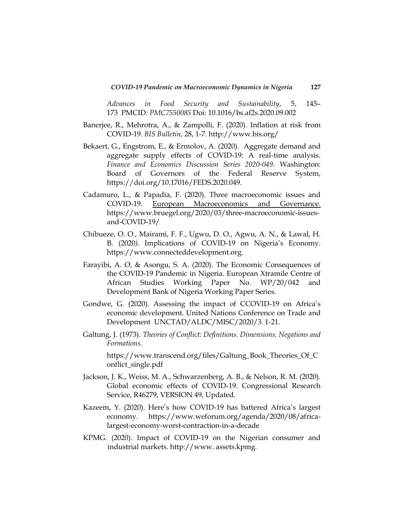*[Advances in Food Security and Sustainability](https://www.ncbi.nlm.nih.gov/pmc/articles/PMC7550085/)*, 5, 145– 173 PMCID*: PMC7550085* Doi: [10.1016/bs.af2s.2020.09.002](https://dx.doi.org/10.1016%2Fbs.af2s.2020.09.002)

- Banerjee, R., Mehrotra, A., & Zampolli, F. (2020). Inflation at risk from COVID-19. *BIS Bulletin,* 28, 1-7. http://www.bis.org/
- Bekaert, G., Engstrom, E., & Ermolov, A. (2020). Aggregate demand and aggregate supply effects of COVID-19: A real-time analysis. *Finance and Economics Discussion Series 2020-049*. Washington: Board of Governors of the Federal Reserve System, https://doi.org/10.17016/FEDS.2020.049.
- Cadamuro, L., & Papadia, F. (2020). Three macroeconomic issues and COVID-19. European Macroeconomics and Governance. [https://www.bruegel.org/2020/03/three-macroeconomic-issues](https://www.bruegel.org/2020/03/three-macroeconomic-issues-and-covid-19/)[and-COVID-19/](https://www.bruegel.org/2020/03/three-macroeconomic-issues-and-covid-19/)
- Chibueze, O. O., Mairami, F. F., Ugwu, D. O., Agwu, A. N., & Lawal, H. B. (2020*).* Implications of COVID-19 on Nigeria's Economy. [https://www.connecteddevelopment.org.](https://www.connecteddevelopment.org/)
- Farayibi, A. O, & Asongu, S. A. (2020). The Economic Consequences of the COVID-19 Pandemic in Nigeria. European Xtramile Centre of African Studies Working Paper No. WP/20/042 and Development Bank of Nigeria Working Paper Series.
- Gondwe, G. (2020). Assessing the impact of CCOVID-19 on Africa's economic development. United Nations Conference on Trade and Development UNCTAD/ALDC/MISC/2020/3. 1-21.
- Galtung, J. (1973). *Theories of Conflict: Definitions. Dimensions, Negations and Formations.*

https://www.transcend.org/files/Galtung\_Book\_Theories\_Of\_C onflict\_single.pdf

- Jackson, J. K., Weiss, M. A., Schwarzenberg, A. B., & Nelson, R. M. (2020). Global economic effects of COVID-19. Congressional Research Service, R46279, VERSION 49, Updated.
- Kazeem, Y. (2020). Here's how COVID-19 has battered Africa's largest economy. [https://www.weforum.org/agenda/2020/08/africa](https://www.weforum.org/agenda/2020/08/africa-largest-economy-worst-contraction-in-a-decade)[largest-economy-worst-contraction-in-a-decade](https://www.weforum.org/agenda/2020/08/africa-largest-economy-worst-contraction-in-a-decade)
- KPMG. (2020). Impact of COVID-19 on the Nigerian consumer and industrial markets. http://www. assets.kpmg.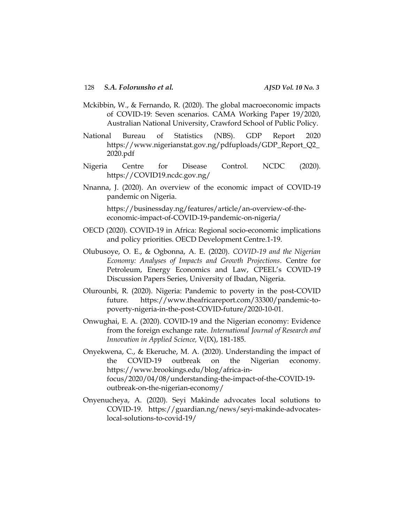- Mckibbin, W., & Fernando, R. (2020). The global macroeconomic impacts of COVID-19: Seven scenarios. CAMA Working Paper 19/2020, Australian National University, Crawford School of Public Policy.
- National Bureau of Statistics (NBS). GDP Report 2020 https://www.nigerianstat.gov.ng/pdfuploads/GDP\_Report\_Q2\_ 2020.pdf
- Nigeria Centre for Disease Control. NCDC (2020). https://COVID19.ncdc.gov.ng/
- Nnanna, J. (2020). An overview of the economic impact of COVID-19 pandemic on Nigeria.

[https://businessday.ng/features/article/an-overview-of-the](https://businessday.ng/features/article/an-overview-of-the-economic-impact-of-covid-19-pandemic-on-nigeria/)[economic-impact-of-COVID-19-pandemic-on-nigeria/](https://businessday.ng/features/article/an-overview-of-the-economic-impact-of-covid-19-pandemic-on-nigeria/)

- OECD (2020). COVID-19 in Africa: Regional socio-economic implications and policy priorities. OECD Development Centre.1-19.
- Olubusoye, O. E., & Ogbonna, A. E. (2020). *COVID-19 and the Nigerian Economy: Analyses of Impacts and Growth Projections*. Centre for Petroleum, Energy Economics and Law, CPEEL's COVID-19 Discussion Papers Series, University of Ibadan, Nigeria.
- Olurounbi, R. (2020). Nigeria: Pandemic to poverty in the post-COVID future. [https://www.theafricareport.com/33300/pandemic-to](https://www.theafricareport.com/33300/pandemic-to-poverty-nigeria-in-the-post-covid-future/2020-10-01)[poverty-nigeria-in-the-post-COVID-future/2020-10-01.](https://www.theafricareport.com/33300/pandemic-to-poverty-nigeria-in-the-post-covid-future/2020-10-01)
- Onwughai, E. A. (2020). COVID-19 and the Nigerian economy: Evidence from the foreign exchange rate. *International Journal of Research and Innovation in Applied Science,* V(IX), 181-185.
- Onyekwena, C., & Ekeruche, M. A. (2020). Understanding the impact of the COVID-19 outbreak on the Nigerian economy. [https://www.brookings.edu/blog/africa-in](https://www.brookings.edu/blog/africa-in-focus/2020/04/08/understanding-the-impact-of-the-covid-19-outbreak-on-the-nigerian-economy/)[focus/2020/04/08/understanding-the-impact-of-the-COVID-19](https://www.brookings.edu/blog/africa-in-focus/2020/04/08/understanding-the-impact-of-the-covid-19-outbreak-on-the-nigerian-economy/) [outbreak-on-the-nigerian-economy/](https://www.brookings.edu/blog/africa-in-focus/2020/04/08/understanding-the-impact-of-the-covid-19-outbreak-on-the-nigerian-economy/)
- Onyenucheya, A. (2020). Seyi Makinde advocates local solutions to COVID-19. https://guardian.ng/news/seyi-makinde-advocateslocal-solutions-to-covid-19/